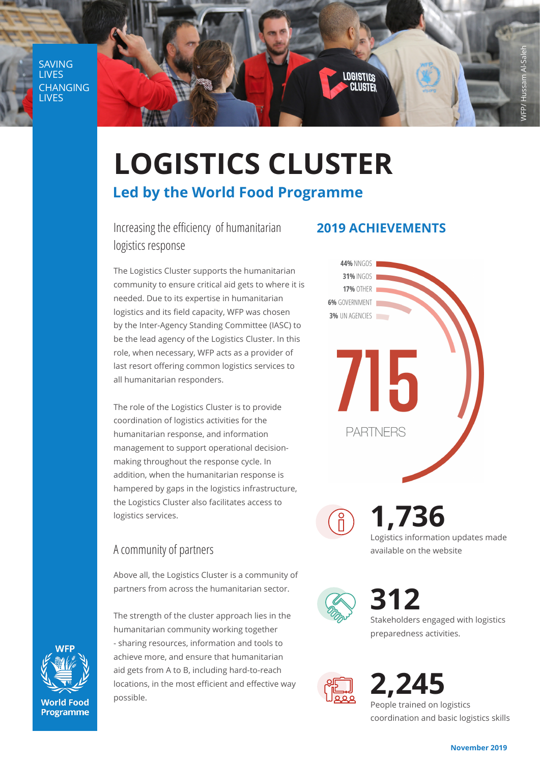**SAVING** LIVES CHANGING LIVES



# **LOGISTICS CLUSTER Led by the World Food Programme**

Increasing the efficiency of humanitarian logistics response

The Logistics Cluster supports the humanitarian community to ensure critical aid gets to where it is needed. Due to its expertise in humanitarian logistics and its field capacity, WFP was chosen by the Inter-Agency Standing Committee (IASC) to be the lead agency of the Logistics Cluster. In this role, when necessary, WFP acts as a provider of last resort offering common logistics services to all humanitarian responders.

The role of the Logistics Cluster is to provide coordination of logistics activities for the humanitarian response, and information management to support operational decisionmaking throughout the response cycle. In addition, when the humanitarian response is hampered by gaps in the logistics infrastructure, the Logistics Cluster also facilitates access to logistics services.

# A community of partners

Above all, the Logistics Cluster is a community of partners from across the humanitarian sector.

The strength of the cluster approach lies in the humanitarian community working together - sharing resources, information and tools to achieve more, and ensure that humanitarian aid gets from A to B, including hard-to-reach locations, in the most efficient and effective way possible.

## **2019 ACHIEVEMENTS**

**44% NNGOS** 31% INGOS **17% OTHER** 6% GOVERNMENT 3% UN AGENCIES /15 **PARTNERS** 



**1,736** Logistics information updates made available on the website



**312** Stakeholders engaged with logistics preparedness activities.



**2,245**  People trained on logistics coordination and basic logistics skills



**World Food Programme**